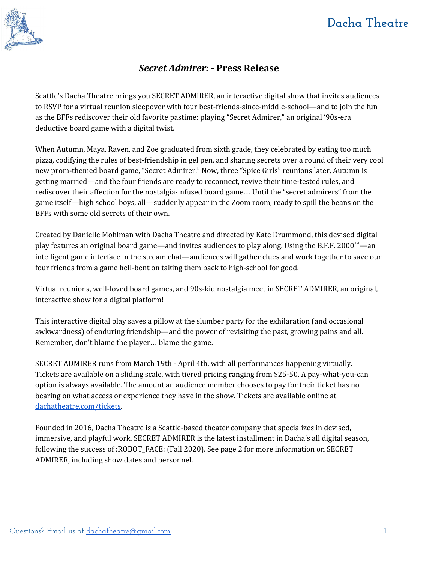

# **Dacha Theatre**

### *Secret Admirer:* **- Press Release**

Seattle's Dacha Theatre brings you SECRET ADMIRER, an interactive digital show that invites audiences to RSVP for a virtual reunion sleepover with four best-friends-since-middle-school—and to join the fun as the BFFs rediscover their old favorite pastime: playing "Secret Admirer," an original '90s-era deductive board game with a digital twist.

When Autumn, Maya, Raven, and Zoe graduated from sixth grade, they celebrated by eating too much pizza, codifying the rules of best-friendship in gel pen, and sharing secrets over a round of their very cool new prom-themed board game, "Secret Admirer." Now, three "Spice Girls" reunions later, Autumn is getting married—and the four friends are ready to reconnect, revive their time-tested rules, and rediscover their affection for the nostalgia-infused board game… Until the "secret admirers" from the game itself—high school boys, all—suddenly appear in the Zoom room, ready to spill the beans on the BFFs with some old secrets of their own.

Created by Danielle Mohlman with Dacha Theatre and directed by Kate Drummond, this devised digital play features an original board game—and invites audiences to play along. Using the B.F.F. 2000<sup>™</sup>—an intelligent game interface in the stream chat—audiences will gather clues and work together to save our four friends from a game hell-bent on taking them back to high-school for good.

Virtual reunions, well-loved board games, and 90s-kid nostalgia meet in SECRET ADMIRER, an original, interactive show for a digital platform!

This interactive digital play saves a pillow at the slumber party for the exhilaration (and occasional awkwardness) of enduring friendship—and the power of revisiting the past, growing pains and all. Remember, don't blame the player… blame the game.

SECRET ADMIRER runs from March 19th - April 4th, with all performances happening virtually. Tickets are available on a sliding scale, with tiered pricing ranging from \$25-50. A pay-what-you-can option is always available. The amount an audience member chooses to pay for their ticket has no bearing on what access or experience they have in the show. Tickets are available online at [dachatheatre.com/tickets](http://www.dachatheatre.com/tickets.html).

Founded in 2016, Dacha Theatre is a Seattle-based theater company that specializes in devised, immersive, and playful work. SECRET ADMIRER is the latest installment in Dacha's all digital season, following the success of :ROBOT\_FACE: (Fall 2020). See page 2 for more information on SECRET ADMIRER, including show dates and personnel.